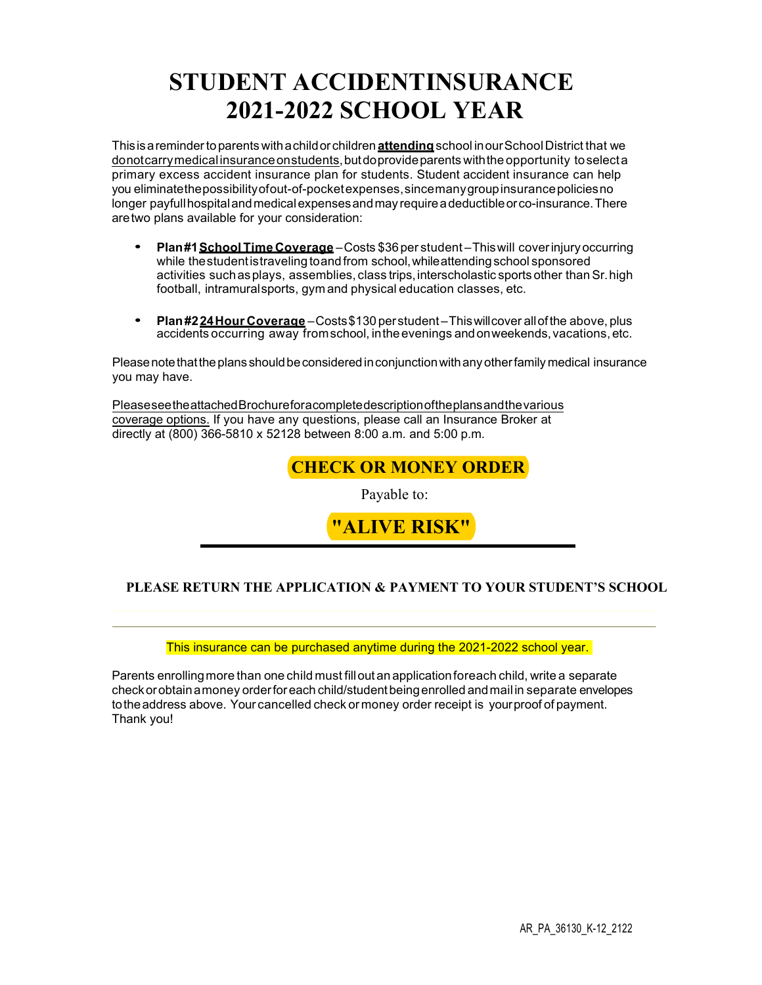# **STUDENT ACCIDENTINSURANCE 2021-2022 SCHOOL YEAR**

Thisis a remindertoparents with a childorchildren **attending**school inourSchoolDistrict that we donotcarrymedicalinsuranceonstudents, butdoprovideparents withthe opportunity toselecta primary excess accident insurance plan for students. Student accident insurance can help you eliminatethepossibilityofout-of-pocketexpenses,sincemanygroupinsurancepoliciesno longer payfullhospitalandmedicalexpensesandmay require a deductibleorco-insurance.There aretwo plans available for your consideration:

- **Plan#1School Time Coverage** Costs \$36per student Thiswill coverinjury occurring while the student is traveling to and from school, while attending school sponsored activities suchasplays, assemblies, class trips,interscholastic sports other thanSr.high football, intramuralsports, gym and physical education classes, etc.
- **Plan#224Hour Coverage** Costs\$130 perstudent Thiswillcover allofthe above, plus accidents occurring away fromschool, intheevenings andonweekends,vacations, etc.

Please note What the plans should be considered in conjunction with any other family medical insurance you may have.

Please See Whe attached & rochure Dor a complete description of the plans and the various coverage options. If you have any questions, please call an Insurance Broker at directly at (800) 366-5810 x 52128 between 8:00 a.m. and 5:00 p.m.

# **CHECK OR MONEY ORDER**

Payable to:



## **PLEASE RETURN THE APPLICATION & PAYMENT TO YOUR STUDENT'S SCHOOL**  ENROLLMENT APPLICATION CAN BE FOUND ON PAGE 7

#### This insurance can be purchased anytime during the 2021-2022 school year.

Parents enrollingmore than one child must fillout an applicationforeach child, write a separate checkorobtain a money orderforeach child/studentbeingenrolled andmail in separate envelopes totheaddress above. Your cancelled check or money order receipt is yourproof of payment. Thank you!

1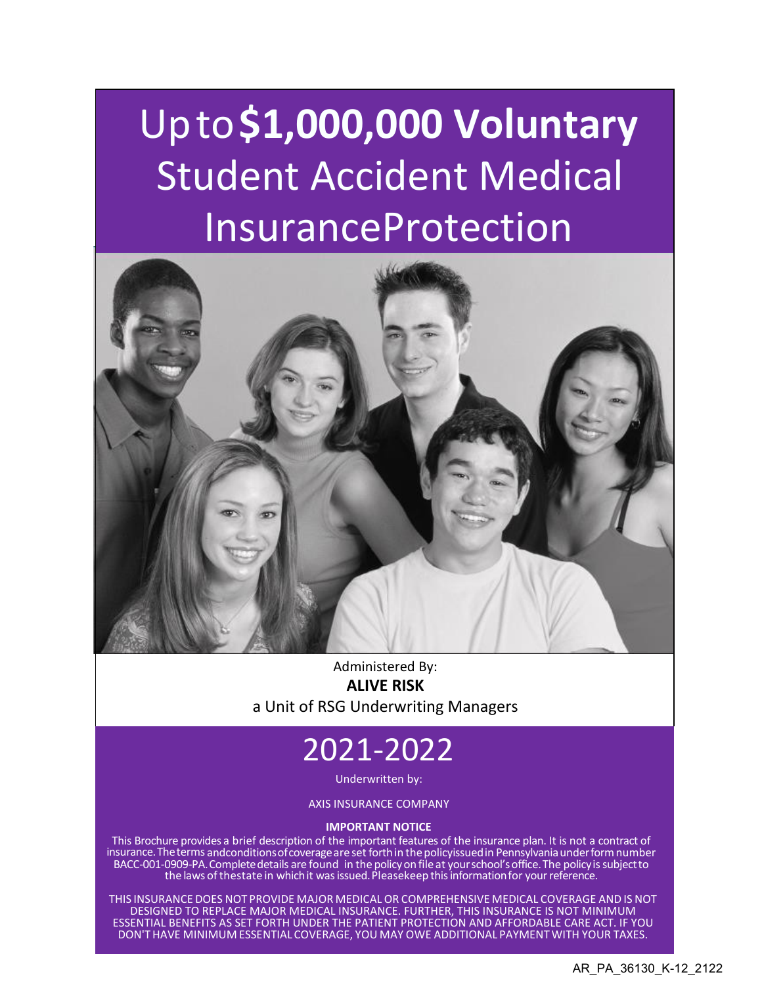# Upto**\$1,000,000 Voluntary** Student Accident Medical **InsuranceProtection**



Administered By: **ALIVE RISK** a Unit of RSG Underwriting Managers

# 2021-2022

Underwritten by:

AXIS INSURANCE COMPANY

#### **IMPORTANT NOTICE**

This Brochure provides a brief description of the important features of the insurance plan. It is not a contract of insurance.Theterms andconditionsofcoverageare set forthin thepolicyissuedin Pennsylvaniaunderformnumber BACC-001-0909-PA. Complete details are found in the policy on file at your school's office. The policy is subject to the laws of thestate in which it was issued. Pleasekeep this information for your reference.

THIS INSURANCE DOES NOT PROVIDE MAJOR MEDICAL OR COMPREHENSIVE MEDICAL COVERAGE AND IS NOT DESIGNED TO REPLACE MAJOR MEDICAL INSURANCE. FURTHER, THIS INSURANCE IS NOT MINIMUM ESSENTIAL BENEFITS AS SET FORTH UNDER THE PATIENT PROTECTION AND AFFORDABLE CARE ACT. IF YOU DON'T HAVE MINIMUM ESSENTIAL COVERAGE, YOU MAY OWE ADDITIONAL PAYMENT WITH YOUR TAXES.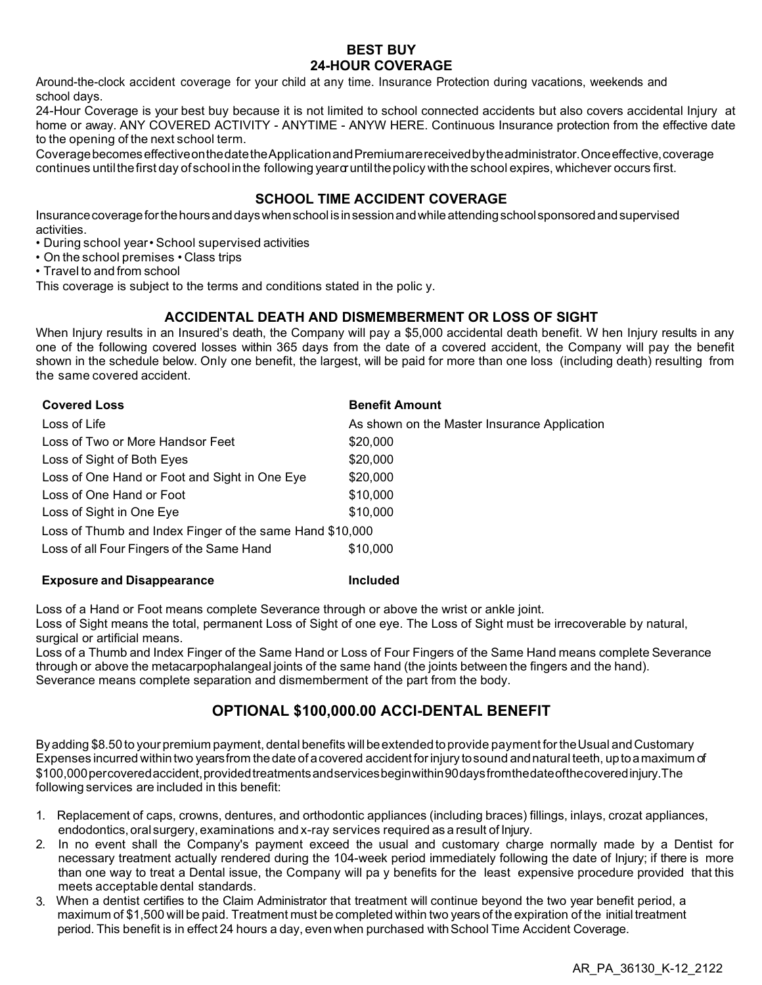#### **BEST BUY 24-HOUR COVERAGE**

Around-the-clock accident coverage for your child at any time. Insurance Protection during vacations, weekends and school days.

24-Hour Coverage is your best buy because it is not limited to school connected accidents but also covers accidental Injury at home or away. ANY COVERED ACTIVITY - ANYTIME - ANYW HERE. Continuous Insurance protection from the effective date to the opening of the next school term.

CoveragebecomeseffectiveonthedatetheApplicationandPremiumarereceivedbytheadministrator.Onceeffective,coverage continues until the first day of school in the following year or until the policy with the school expires, whichever occurs first.

### **SCHOOL TIME ACCIDENT COVERAGE**

Insurancecoverageforthehoursanddayswhenschool is insessionandwhileattendingschoolsponsoredandsupervised activities.

- During school year School supervised activities
- On the school premises Class trips
- Travel to and from school

This coverage is subject to the terms and conditions stated in the polic y.

### **ACCIDENTAL DEATH AND DISMEMBERMENT OR LOSS OF SIGHT**

When Injury results in an Insured's death, the Company will pay a \$5,000 accidental death benefit. W hen Injury results in any one of the following covered losses within 365 days from the date of a covered accident, the Company will pay the benefit shown in the schedule below. Only one benefit, the largest, will be paid for more than one loss (including death) resulting from the same covered accident.

| <b>Covered Loss</b>                                      | <b>Benefit Amount</b>                        |  |  |
|----------------------------------------------------------|----------------------------------------------|--|--|
| Loss of Life                                             | As shown on the Master Insurance Application |  |  |
| Loss of Two or More Handsor Feet                         | \$20,000                                     |  |  |
| Loss of Sight of Both Eyes                               | \$20,000                                     |  |  |
| Loss of One Hand or Foot and Sight in One Eye            | \$20,000                                     |  |  |
| Loss of One Hand or Foot                                 | \$10,000                                     |  |  |
| Loss of Sight in One Eye                                 | \$10,000                                     |  |  |
| Loss of Thumb and Index Finger of the same Hand \$10,000 |                                              |  |  |
| Loss of all Four Fingers of the Same Hand                | \$10,000                                     |  |  |

#### **Exposure and Disappearance Included**

Loss of a Hand or Foot means complete Severance through or above the wrist or ankle joint.

Loss of Sight means the total, permanent Loss of Sight of one eye. The Loss of Sight must be irrecoverable by natural, surgical or artificial means.

Loss of a Thumb and Index Finger of the Same Hand or Loss of Four Fingers of the Same Hand means complete Severance through or above the metacarpophalangeal joints of the same hand (the joints between the fingers and the hand). Severance means complete separation and dismemberment of the part from the body.

# **OPTIONAL \$100,000.00 ACCI-DENTAL BENEFIT**

By adding \$8.50 to your premium payment, dental benefits will be extended to provide payment for the Usual and Customary Expenses incurred withintwo yearsfrom thedate of a covered accident forinjury tosound andnatural teeth, upto a maximum of \$100,000percoveredaccident,providedtreatmentsandservicesbeginwithin90daysfromthedateofthecoveredinjury.The following services are included in this benefit:

- 1. Replacement of caps, crowns, dentures, and orthodontic appliances (including braces) fillings, inlays, crozat appliances, endodontics,oral surgery, examinations and x-ray services required as a result of Injury.
- 2. In no event shall the Company's payment exceed the usual and customary charge normally made by a Dentist for necessary treatment actually rendered during the 104-week period immediately following the date of Injury; if there is more than one way to treat a Dental issue, the Company will pa y benefits for the least expensive procedure provided that this meets acceptable dental standards.
- 3. When a dentist certifies to the Claim Administrator that treatment will continue beyond the two year benefit period, a maximum of \$1,500 will be paid. Treatment must be completed within two years of the expiration of the initial treatment period. This benefit is in effect 24 hours a day, even when purchased with School Time Accident Coverage.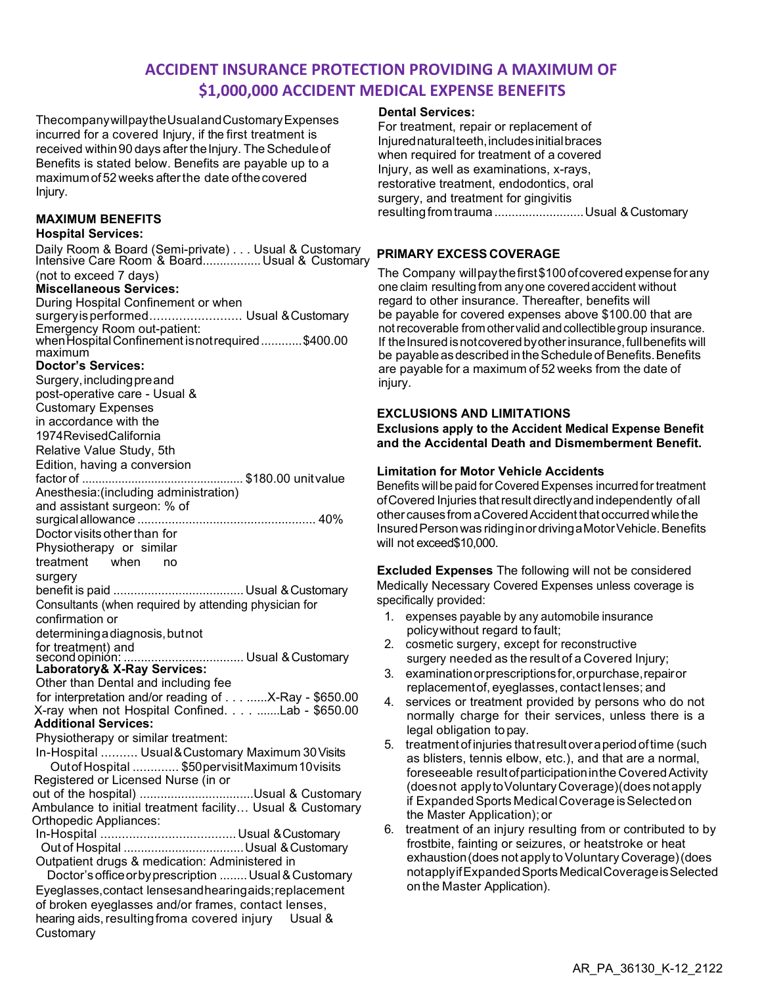# **ACCIDENT INSURANCE PROTECTION PROVIDING A MAXIMUM OF \$1,000,000 ACCIDENT MEDICAL EXPENSE BENEFITS**

ThecompanywillpaytheUsualandCustomaryExpenses incurred for a covered Injury, if the first treatment is received within 90 days after the Injury. The Schedule of Benefits is stated below. Benefits are payable up to a maximumof 52 weeks afterthe date ofthecovered Injury.

#### **MAXIMUM BENEFITS**

#### **Hospital Services:**

Daily Room & Board (Semi-private) . . . Usual & Customary<br>Intensive Care Room & Board................. Usual & Customary (not to exceed 7 days) **Miscellaneous Services:** During Hospital Confinement or when surgery is performed............................... Usual & Customary Emergency Room out-patient: whenHospitalConfinement isnotrequired............\$400.00 maximum **Doctor's Services:** Surgery, including preand post-operative care - Usual & Customary Expenses in accordance with the 1974RevisedCalifornia Relative Value Study, 5th Edition, having a conversion factor of ................................................. \$180.00 unitvalue Anesthesia:(including administration) and assistant surgeon: % of surgicalallowance .................................................... 40% Doctor visits other than for Physiotherapy or similar treatment when no surgery benefit is paid ...................................... Usual &Customary Consultants (when required by attending physician for confirmation or determining a diagnosis, but not for treatment) and second opinion: ................................... Usual &Customary **Laboratory& X-Ray Services:** Other than Dental and including fee for interpretation and/or reading of . . . ......X-Ray - \$650.00 X-ray when not Hospital Confined. . . . .......Lab - \$650.00 **Additional Services:** Physiotherapy or similar treatment: In-Hospital .......... Usual & Customary Maximum 30Visits Outof Hospital ............. \$50pervisitMaximum10visits Registered or Licensed Nurse (in or out of the hospital) .................................Usual & Customary Ambulance to initial treatment facility… Usual & Customary Orthopedic Appliances: In-Hospital ...................................... Usual &Customary Out of Hospital ...................................Usual &Customary Outpatient drugs & medication: Administered in Doctor'sofficeorbyprescription ........Usual & Customary Eyeglasses,contact lensesandhearingaids;replacement of broken eyeglasses and/or frames, contact lenses, hearing aids, resulting from a covered injury Usual & **Customary** 

#### **Dental Services:**

For treatment, repair or replacement of Injurednaturalteeth,includesinitialbraces when required for treatment of a covered Injury, as well as examinations, x-rays, restorative treatment, endodontics, oral surgery, and treatment for gingivitis resulting from trauma ........................... Usual & Customary

#### **PRIMARY EXCESS COVERAGE**

The Company will pay the first \$100 of covered expense for any one claim resulting from any one covered accident without regard to other insurance. Thereafter, benefits will be payable for covered expenses above \$100.00 that are not recoverable from other valid and collectible group insurance. If the Insured is not covered by other insurance, full benefits will be payable as described in the Schedule of Benefits. Benefits are payable for a maximum of 52 weeks from the date of injury.

#### **EXCLUSIONS AND LIMITATIONS**

**Exclusions apply to the Accident Medical Expense Benefit and the Accidental Death and Dismemberment Benefit.** 

#### **Limitation for Motor Vehicle Accidents**

Benefits will be paid for Covered Expenses incurred for treatment ofCovered Injuries thatresult directlyand independently ofall othercauses from a CoveredAccident that occurred whilethe Insured Person was riding in or driving a Motor Vehicle. Benefits will not exceed\$10,000.

**Excluded Expenses** The following will not be considered Medically Necessary Covered Expenses unless coverage is specifically provided:

- 1. expenses payable by any automobile insurance policywithout regard to fault;
- 2. cosmetic surgery, except for reconstructive surgery needed as the result of a Covered Injury;
- 3. examinationorprescriptionsfor,orpurchase,repairor replacementof, eyeglasses, contact lenses; and
- 4. services or treatment provided by persons who do not normally charge for their services, unless there is a legal obligation to pay.
- 5. treatment ofinjuries thatresultover a periodoftime (such as blisters, tennis elbow, etc.), and that are a normal, foreseeable resultofparticipationinthe CoveredActivity (doesnot apply toVoluntaryCoverage)(does notapply if Expanded Sports Medical Coverage is Selected on the Master Application);or
- 6. treatment of an injury resulting from or contributed to by frostbite, fainting or seizures, or heatstroke or heat exhaustion (does not apply to Voluntary Coverage) (does notapplyifExpandedSports MedicalCoverageisSelected onthe Master Application).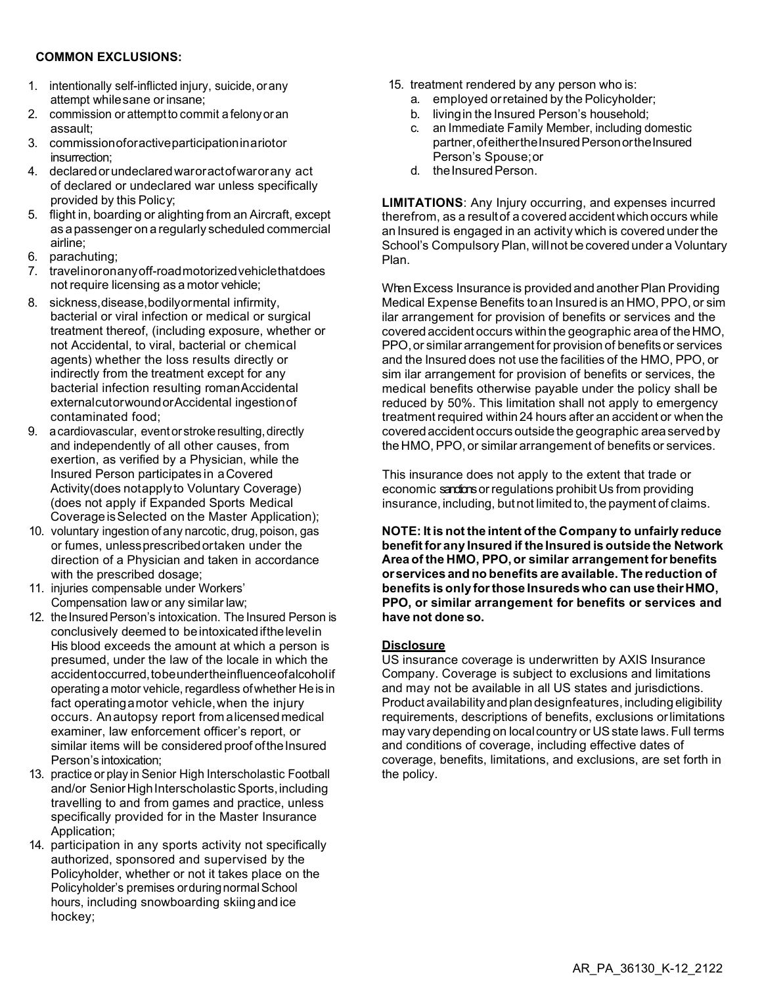#### **COMMON EXCLUSIONS:**

- 1. intentionally self-inflicted injury, suicide, orany attempt while sane or insane;
- 2. commission or attemptto commit a felonyoran assault;
- 3. commissionoforactiveparticipationin a riotor insurrection;
- 4. declaredorundeclaredwaroractofwarorany act of declared or undeclared war unless specifically provided by this Policy;
- 5. flight in, boarding or alighting from an Aircraft, except as a passenger on a regularly scheduled commercial airline;
- 6. parachuting;
- 7. travelinoronanyoff-roadmotorizedvehiclethatdoes not require licensing as a motor vehicle;
- 8. sickness,disease,bodilyormental infirmity, bacterial or viral infection or medical or surgical treatment thereof, (including exposure, whether or not Accidental, to viral, bacterial or chemical agents) whether the loss results directly or indirectly from the treatment except for any bacterial infection resulting romanAccidental externalcutorwoundorAccidental ingestionof contaminated food;
- 9. a cardiovascular, event or stroke resulting, directly and independently of all other causes, from exertion, as verified by a Physician, while the Insured Person participates in a Covered Activity(does notapplyto Voluntary Coverage) (does not apply if Expanded Sports Medical Coverage is Selected on the Master Application);
- 10. voluntary ingestion of any narcotic, drug, poison, gas or fumes, unlessprescribedortaken under the direction of a Physician and taken in accordance with the prescribed dosage;
- 11. injuries compensable under Workers' Compensation law or any similar law;
- 12. the Insured Person's intoxication. The Insured Person is conclusively deemed to beintoxicatedifthelevelin His blood exceeds the amount at which a person is presumed, under the law of the locale in which the accidentoccurred, tobe under the influence of alcoholif operating a motor vehicle, regardless of whether He is in fact operating a motor vehicle,when the injury occurs. Anautopsy report from a licensedmedical examiner, law enforcement officer's report, or similar items will be considered proof of the Insured Person's intoxication;
- 13. practice or play in Senior High Interscholastic Football and/or Senior High Interscholastic Sports, including travelling to and from games and practice, unless specifically provided for in the Master Insurance Application;
- 14. participation in any sports activity not specifically authorized, sponsored and supervised by the Policyholder, whether or not it takes place on the Policyholder's premises orduring normal School hours, including snowboarding skiingand ice hockey;
- 15. treatment rendered by any person who is:
	- a. employed orretained by the Policyholder;
	- b. livingin the Insured Person's household;
	- c. an Immediate Family Member, including domestic partner, of either the Insured Person or the Insured Person's Spouse;or
	- d. the Insured Person.

**LIMITATIONS**: Any Injury occurring, and expenses incurred therefrom, as a result of a covered accident which occurs while an Insured is engaged in an activit y which is covered under the School's Compulsory Plan, willnot be covered under a Voluntary Plan.

WhenExcess Insurance is provided and another Plan Providing Medical Expense Benefits toan Insured is an HMO, PPO, or sim ilar arrangement for provision of benefits or services and the covered accident occurs within the geographic area of theHMO, PPO,or similar arrangement for provision of benefits or services and the Insured does not use the facilities of the HMO, PPO, or sim ilar arrangement for provision of benefits or services, the medical benefits otherwise payable under the policy shall be reduced by 50%. This limitation shall not apply to emergency treatment required within24 hours after an accident or when the coveredaccident occurs outside the geographic areaservedby the HMO, PPO, or similar arrangement of benefits or services.

This insurance does not apply to the extent that trade or economic sandions or regulations prohibit Us from providing insurance, including, but not limited to, the payment of claims.

**NOTE: It is not the intent of the Company to unfairly reduce benefit for any Insured if the Insured is outside the Network Area of the HMO, PPO,or similar arrangement for benefits orservices and no benefits are available. The reduction of benefits is only forthose Insuredswho can use theirHMO, PPO, or similar arrangement for benefits or services and have not done so.**

#### **Disclosure**

US insurance coverage is underwritten by AXIS Insurance Company. Coverage is subject to exclusions and limitations and may not be available in all US states and jurisdictions. Product availability and plan designfeatures, including eligibility requirements, descriptions of benefits, exclusions orlimitations may vary depending on localcountry or USstate laws. Full terms and conditions of coverage, including effective dates of coverage, benefits, limitations, and exclusions, are set forth in the policy.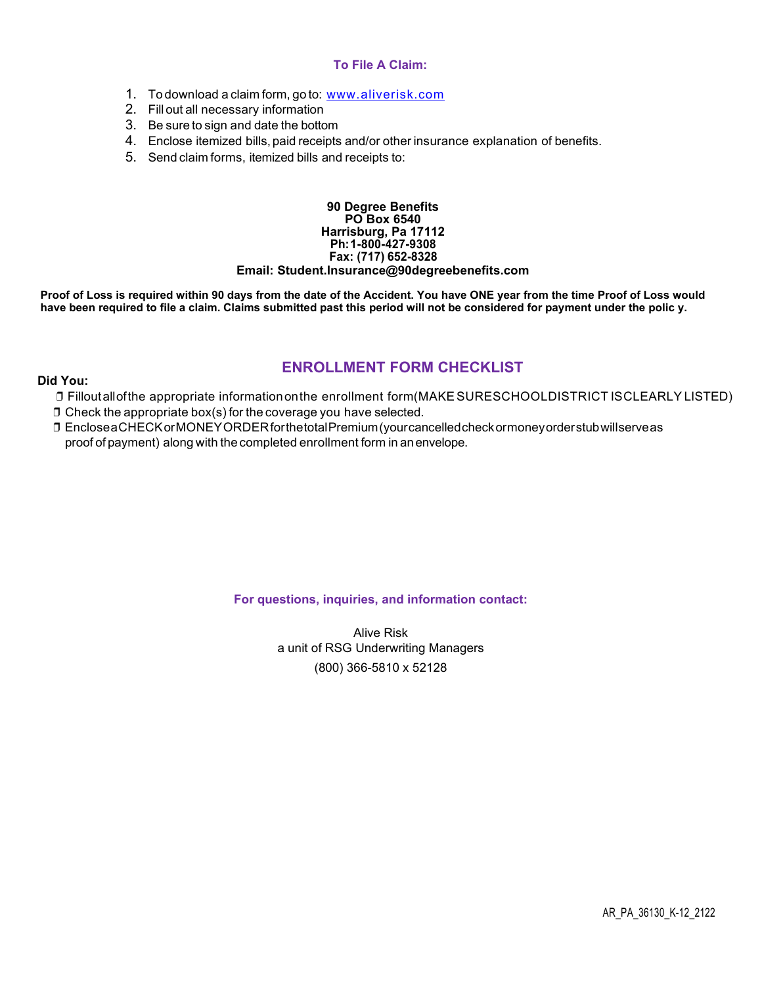#### **To File A Claim:**

- 1. To download a claim form, go to: [www.aliverisk.com](https://aliverisk.com/wp-content/uploads/2021/06/AXIS-2019-Claimform.pdf)
- 2. Fill out all necessary information
- 3. Be sure to sign and date the bottom
- 4. Enclose itemized bills, paid receipts and/or other insurance explanation of benefits.
- 5. Send claim forms, itemized bills and receipts to:

#### **90 Degree Benefits PO Box 6540 Harrisburg, Pa 17112 Ph: 1-800-427-9308 Fax: (717) 652-8328 Email: [Student.Insurance@90degreebenefits.com](mailto:Student.Insurance@90degreebenefits.com)**

**Proof of Loss is required within 90 days from the date of the Accident. You have ONE year from the time Proof of Loss would have been required to file a claim. Claims submitted past this period will not be considered for payment under the polic y.**

### **ENROLLMENT FORM CHECKLIST**

#### **Did You:**

- ❒ Filloutallofthe appropriate informationonthe enrollment form(MAKESURESCHOOLDISTRICT ISCLEARLY LISTED)
- ❒ Check the appropriate box(s) for the coverage you have selected.
- ❒ Enclose a CHECKorMONEYORDERforthetotalPremium(yourcancelledcheckormoneyorderstubwillserveas proof of payment) along with the completed enrollment form in anenvelope.

#### **For questions, inquiries, and information contact:**

Alive Risk a unit of RSG Underwriting Managers (800) 366-5810 x 52128